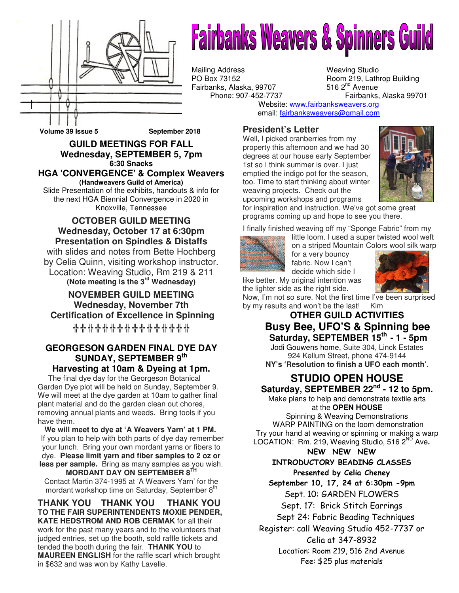

# **Fairbanks Weavers & Spinners Guild**

Mailing Address Weaving Studio<br>
PO Box 73152 Room 219, Lath Fairbanks, Alaska, 99707<br>Phone: 907-452-7737

Room 219, Lathrop Building 516  $2<sup>nd</sup>$  Avenue Fairbanks, Alaska 99701

Website: www.fairbanksweavers.org email: fairbanksweavers@gmail.com

#### **President's Letter**

Well, I picked cranberries from my property this afternoon and we had 30 degrees at our house early September 1st so I think summer is over. I just emptied the indigo pot for the season, too. Time to start thinking about winter weaving projects. Check out the upcoming workshops and programs



for inspiration and instruction. We've got some great programs coming up and hope to see you there.

I finally finished weaving off my "Sponge Fabric" from my



little loom. I used a super twisted wool weft on a striped Mountain Colors wool silk warp for a very bouncy fabric. Now I can't decide which side I



like better. My original intention was the lighter side as the right side.

Now, I'm not so sure. Not the first time I've been surprised by my results and won't be the last! Kim

#### **OTHER GUILD ACTIVITIES Busy Bee, UFO'S & Spinning bee Saturday, SEPTEMBER 15th - 1 - 5pm**

Jodi Gouwens home, Suite 304, Linck Estates 924 Kellum Street, phone 474-9144 **NY's 'Resolution to finish a UFO each month'.**

## **STUDIO OPEN HOUSE Saturday, SEPTEMBER 22nd - 12 to 5pm.**

Make plans to help and demonstrate textile arts at the **OPEN HOUSE**

Spinning & Weaving Demonstrations WARP PAINTING on the loom demonstration Try your hand at weaving or spinning or making a warp LOCATION: Rm. 219, Weaving Studio, 516 2<sup>ND</sup> Ave.

NEW NEW NEW

#### INTRODUCTORY BEADING CLASSES

Presented by Celia Cheney

September 10, 17, 24 at 6:30pm -9pm Sept. 10: GARDEN FLOWERS

Sept. 17: Brick Stitch Earrings

Sept 24: Fabric Beading Techniques

Register: call Weaving Studio 452-7737 or

Celia at 347-8932

Location: Room 219, 516 2nd Avenue Fee: \$25 plus materials

**Volume 39 Issue 5 September 2018** 

#### **GUILD MEETINGS FOR FALL Wednesday, SEPTEMBER 5, 7pm 6:30 Snacks HGA 'CONVERGENCE' & Complex Weavers**

**(Handweavers Guild of America)**  Slide Presentation of the exhibits, handouts & info for

the next HGA Biennial Convergence in 2020 in Knoxville, Tennessee

#### **OCTOBER GUILD MEETING Wednesday, October 17 at 6:30pm Presentation on Spindles & Distaffs**

with slides and notes from Bette Hochberg by Celia Quinn, visiting workshop instructor. Location: Weaving Studio, Rm 219 & 211 **(Note meeting is the 3rd Wednesday)** 

**NOVEMBER GUILD MEETING Wednesday, November 7th Certification of Excellence in Spinning** 

╬ ╬ ╬ ╬ ╬ ╬ ╬ ╬ ╬ ╬ ╬ ╬ ╬ ╬ ╬ ╬

#### **GEORGESON GARDEN FINAL DYE DAY SUNDAY, SEPTEMBER 9th Harvesting at 10am & Dyeing at 1pm.**

 The final dye day for the Georgeson Botanical Garden Dye plot will be held on Sunday, September 9. We will meet at the dye garden at 10am to gather final plant material and do the garden clean out chores, removing annual plants and weeds. Bring tools if you have them.

**We will meet to dye at 'A Weavers Yarn' at 1 PM.** If you plan to help with both parts of dye day remember your lunch. Bring your own mordant yarns or fibers to dye. **Please limit yarn and fiber samples to 2 oz or less per sample.** Bring as many samples as you wish. **MORDANT DAY ON SEPTEMBER 8<sup>1</sup>** Contact Martin 374-1995 at 'A Weavers Yarn' for the mordant workshop time on Saturday, September 8<sup>th</sup>

**THANK YOU THANK YOU THANK YOU TO THE FAIR SUPERINTENDENTS MOXIE PENDER, KATE HEDSTROM AND ROB CERMAK** for all their work for the past many years and to the volunteers that judged entries, set up the booth, sold raffle tickets and tended the booth during the fair. **THANK YOU** to **MAUREEN ENGLISH** for the raffle scarf which brought in \$632 and was won by Kathy Lavelle.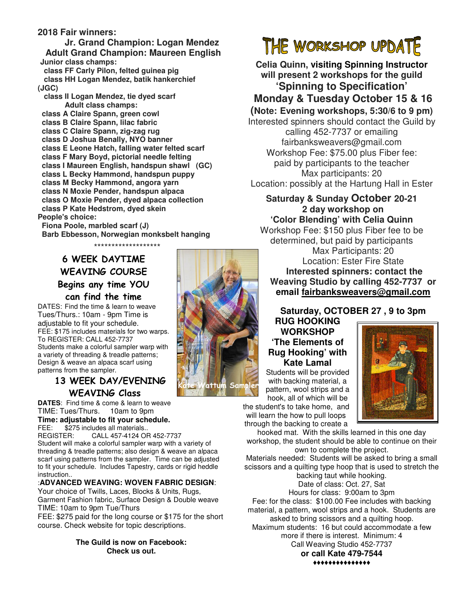#### **2018 Fair winners:**

**Jr. Grand Champion: Logan Mendez Adult Grand Champion: Maureen English Junior class champs:**

 **class FF Carly Pilon, felted guinea pig class HH Logan Mendez, batik hankerchief (JGC)** 

 **class II Logan Mendez, tie dyed scarf Adult class champs:** 

 **class A Claire Spann, green cowl** 

 **class B Claire Spann, lilac fabric** 

 **class C Claire Spann, zig-zag rug** 

 **class D Joshua Benally, NYO banner** 

 **class E Leone Hatch, falling water felted scarf** 

 **class F Mary Boyd, pictorial needle felting class I Maureen English, handspun shawl (GC)** 

 **class L Becky Hammond, handspun puppy** 

 **class M Becky Hammond, angora yarn** 

 **class N Moxie Pender, handspun alpaca** 

- **class O Moxie Pender, dyed alpaca collection**
- **class P Kate Hedstrom, dyed skein**

**People's choice:** 

 **Fiona Poole, marbled scarf (J) Barb Ebbesson, Norwegian monksbelt hanging** \*\*\*\*\*\*\*\*\*\*\*\*\*\*\*\*\*\*\*

## 6 WEEK DAYTIME WEAVING COURSE Begins any time YOU can find the time

DATES: Find the time & learn to weave Tues/Thurs.: 10am - 9pm Time is adjustable to fit your schedule. FEE: \$175 includes materials for two warps. To REGISTER: CALL 452-7737 Students make a colorful sampler warp with a variety of threading & treadle patterns; Design & weave an alpaca scarf using patterns from the sampler.

## 13 WEEK DAY/EVENING WEAVING Class

**DATES**: Find time & come & learn to weave TIME: Tues/Thurs. 10am to 9pm **Time: adjustable to fit your schedule.**<br>FFF: \$275 includes all materials

FEE: \$275 includes all materials..<br>REGISTER: CALL 457-4124 OF CALL 457-4124 OR 452-7737 Student will make a colorful sampler warp with a variety of threading & treadle patterns; also design & weave an alpaca scarf using patterns from the sampler. Time can be adjusted to fit your schedule. Includes Tapestry, cards or rigid heddle instruction..

#### :**ADVANCED WEAVING: WOVEN FABRIC DESIGN**:

Your choice of Twills, Laces, Blocks & Units, Rugs, Garment Fashion fabric, Surface Design & Double weave TIME: 10am to 9pm Tue/Thurs

FEE: \$275 paid for the long course or \$175 for the short course. Check website for topic descriptions.

#### **The Guild is now on Facebook: Check us out.**

**Saturday, OCTOBER 27 , 9 to 3pm RUG HOOKING WORKSHOP 'The Elements of Rug Hooking' with Kate Lamal**

Students will be provided with backing material, a pattern, wool strips and a hook, all of which will be

the student's to take home, and will learn the how to pull loops through the backing to create a

hooked mat. With the skills learned in this one day workshop, the student should be able to continue on their own to complete the project.

Materials needed: Students will be asked to bring a small scissors and a quilting type hoop that is used to stretch the

backing taut while hooking. Date of class: Oct. 27, Sat Hours for class: 9:00am to 3pm Fee: for the class: \$100.00 Fee includes with backing material, a pattern, wool strips and a hook. Students are asked to bring scissors and a quilting hoop. Maximum students: 16 but could accommodate a few more if there is interest. Minimum: 4 Call Weaving Studio 452-7737

**or call Kate 479-7544**  ♦♦♦♦♦♦♦♦♦♦♦♦♦♦♦



THE WORKSHOP UPDATE **Celia Quinn, visiting Spinning Instructor will present 2 workshops for the guild 'Spinning to Specification'** 

## **Monday & Tuesday October 15 & 16**

**(Note: Evening workshops, 5:30/6 to 9 pm)**

Interested spinners should contact the Guild by calling 452-7737 or emailing fairbanksweavers@gmail.com Workshop Fee: \$75.00 plus Fiber fee: paid by participants to the teacher Max participants: 20 Location: possibly at the Hartung Hall in Ester

#### **Saturday & Sunday October 20-21 2 day workshop on 'Color Blending' with Celia Quinn**

Workshop Fee: \$150 plus Fiber fee to be determined, but paid by participants Max Participants: 20 Location: Ester Fire State  **Interested spinners: contact the Weaving Studio by calling 452-7737 or email fairbanksweavers@gmail.com**